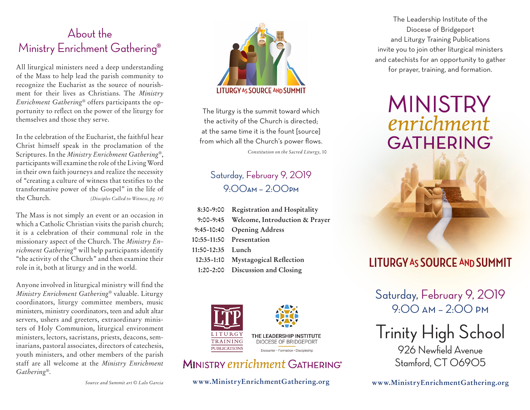## About the Ministry Enrichment Gathering®

All liturgical ministers need a deep understanding of the Mass to help lead the parish community to recognize the Eucharist as the source of nourishment for their lives as Christians. The *Ministry Enrichment Gathering*® offers participants the opportunity to reflect on the power of the liturgy for themselves and those they serve.

In the celebration of the Eucharist, the faithful hear Christ himself speak in the proclamation of the Scriptures. In the *Ministry Enrichment Gathering*®, participants will examine the role of the Living Word in their own faith journeys and realize the necessity of "creating a culture of witness that testifies to the transformative power of the Gospel" in the life of the Church. *(Disciples Called to Witness, pg. 14)*

The Mass is not simply an event or an occasion in which a Catholic Christian visits the parish church; it is a celebration of their communal role in the missionary aspect of the Church. The *Ministry Enrichment Gathering*® will help participants identify "the activity of the Church" and then examine their role in it, both at liturgy and in the world.

Anyone involved in liturgical ministry will find the *Ministry Enrichment Gathering*® valuable. Liturgy coordinators, liturgy committee members, music ministers, ministry coordinators, teen and adult altar servers, ushers and greeters, extraordinary ministers of Holy Communion, liturgical environment ministers, lectors, sacristans, priests, deacons, seminarians, pastoral associates, directors of catechesis, youth ministers, and other members of the parish staff are all welcome at the *Ministry Enrichment Gathering*®.



The liturgy is the summit toward which the activity of the Church is directed; at the same time it is the fount [source] from which all the Church's power flows.

*Constitution on the Sacred Liturgy,* 10

### Saturday, February 9, 2019 9:00**AM** – 2:00**PM**

|                   | 8:30-9:00 Registration and Hospitality   |
|-------------------|------------------------------------------|
|                   | 9:00-9:45 Welcome, Introduction & Prayer |
|                   | 9:45-10:40 Opening Address               |
|                   | 10:55-11:50 Presentation                 |
| 11:50-12:35 Lunch |                                          |
|                   | 12:35-1:10 Mystagogical Reflection       |
|                   | 1:20-2:00 Discussion and Closing         |



### MINISTRY enrichment GATHERING®

**www.MinistryEnrichmentGathering.org**

The Leadership Institute of the Diocese of Bridgeport and Liturgy Training Publications invite you to join other liturgical ministers and catechists for an opportunity to gather for prayer, training, and formation.

# **MINISTRY** enrichment **GATHERING®**



## **LITURGY AS SOURCE AND SUMMIT**

Saturday, February 9, 2019 9:00 am – 2:00 pm

Trinity High School 926 Newfield Avenue Stamford, CT 06905

**www.MinistryEnrichmentGathering.org**